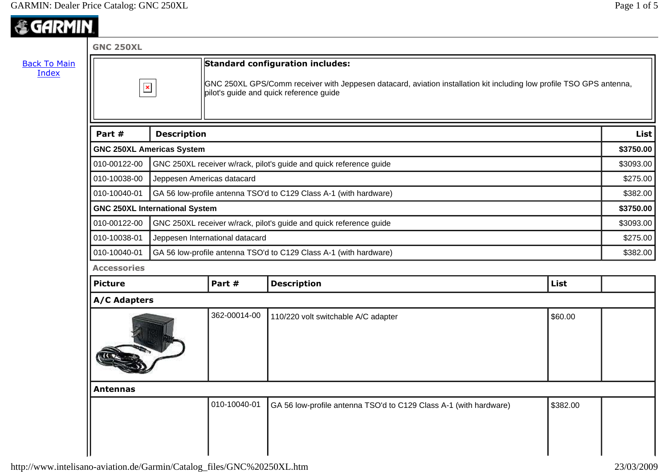## *《GARMIN*

| <b>GNC 250XL</b>    |                                                                   |                                                                                                                                                                 |                                                                   |          |             |
|---------------------|-------------------------------------------------------------------|-----------------------------------------------------------------------------------------------------------------------------------------------------------------|-------------------------------------------------------------------|----------|-------------|
| $\pmb{\times}$      |                                                                   |                                                                                                                                                                 | <b>Standard configuration includes:</b>                           |          |             |
|                     |                                                                   | GNC 250XL GPS/Comm receiver with Jeppesen datacard, aviation installation kit including low profile TSO GPS antenna,<br>pilot's guide and quick reference guide |                                                                   |          |             |
| Part #              | <b>Description</b>                                                |                                                                                                                                                                 |                                                                   |          | <b>List</b> |
|                     | <b>GNC 250XL Americas System</b>                                  |                                                                                                                                                                 |                                                                   |          | \$3750.00   |
| 010-00122-00        |                                                                   | GNC 250XL receiver w/rack, pilot's guide and quick reference guide                                                                                              |                                                                   |          | \$3093.00   |
| 010-10038-00        |                                                                   | Jeppesen Americas datacard                                                                                                                                      |                                                                   |          | \$275.00    |
| 010-10040-01        | GA 56 low-profile antenna TSO'd to C129 Class A-1 (with hardware) |                                                                                                                                                                 |                                                                   | \$382.00 |             |
|                     | <b>GNC 250XL International System</b>                             |                                                                                                                                                                 |                                                                   |          | \$3750.00   |
| 010-00122-00        |                                                                   | GNC 250XL receiver w/rack, pilot's guide and quick reference guide                                                                                              |                                                                   |          | \$3093.00   |
| 010-10038-01        |                                                                   | Jeppesen International datacard                                                                                                                                 |                                                                   |          | \$275.00    |
| 010-10040-01        |                                                                   | GA 56 low-profile antenna TSO'd to C129 Class A-1 (with hardware)                                                                                               |                                                                   |          | \$382.00    |
| <b>Accessories</b>  |                                                                   |                                                                                                                                                                 |                                                                   |          |             |
| <b>Picture</b>      |                                                                   | Part #                                                                                                                                                          | <b>Description</b>                                                | List     |             |
| <b>A/C Adapters</b> |                                                                   |                                                                                                                                                                 |                                                                   |          |             |
|                     |                                                                   | 362-00014-00                                                                                                                                                    | 110/220 volt switchable A/C adapter                               | \$60.00  |             |
| <b>Antennas</b>     |                                                                   |                                                                                                                                                                 |                                                                   |          |             |
|                     |                                                                   | 010-10040-01                                                                                                                                                    | GA 56 low-profile antenna TSO'd to C129 Class A-1 (with hardware) | \$382.00 |             |
|                     |                                                                   |                                                                                                                                                                 |                                                                   |          |             |
|                     |                                                                   |                                                                                                                                                                 |                                                                   |          |             |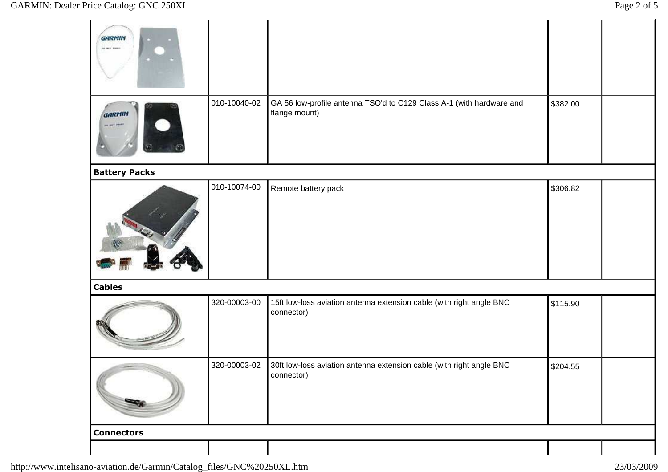| Price Catalog: GNC 250XL |              |                                                                                       |          | Page 2 of 5 |
|--------------------------|--------------|---------------------------------------------------------------------------------------|----------|-------------|
| GARMIN<br>as wer twent   |              |                                                                                       |          |             |
| <b>GARMIN</b>            | 010-10040-02 | GA 56 low-profile antenna TSO'd to C129 Class A-1 (with hardware and<br>flange mount) | \$382.00 |             |
| <b>Battery Packs</b>     |              |                                                                                       |          |             |
|                          | 010-10074-00 | Remote battery pack                                                                   | \$306.82 |             |
| <b>Cables</b>            |              |                                                                                       |          |             |
|                          | 320-00003-00 | 15ft low-loss aviation antenna extension cable (with right angle BNC<br>connector)    | \$115.90 |             |
|                          | 320-00003-02 | 30ft low-loss aviation antenna extension cable (with right angle BNC<br>connector)    | \$204.55 |             |
| <b>Connectors</b>        |              |                                                                                       |          |             |
|                          |              |                                                                                       |          |             |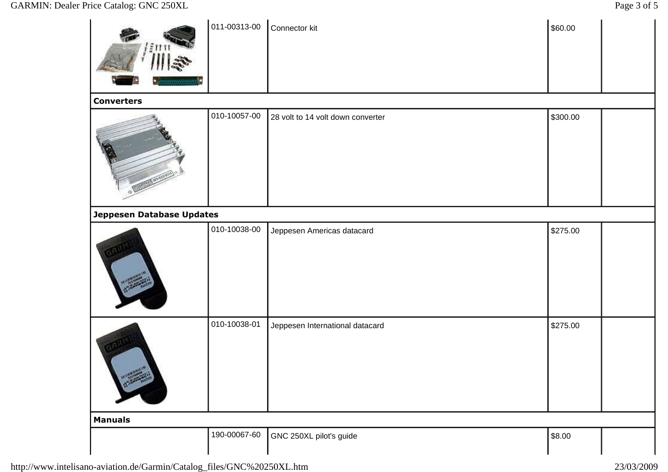## GARMIN: Dealer Price Catalog: GNC 250XL

|                           | 011-00313-00 | Connector kit                     | \$60.00  |
|---------------------------|--------------|-----------------------------------|----------|
| <b>Converters</b>         |              |                                   |          |
|                           | 010-10057-00 | 28 volt to 14 volt down converter | \$300.00 |
| Jeppesen Database Updates |              |                                   |          |
|                           | 010-10038-00 | Jeppesen Americas datacard        | \$275.00 |
|                           | 010-10038-01 | Jeppesen International datacard   | \$275.00 |
| <b>Manuals</b>            |              |                                   |          |
|                           | 190-00067-60 | GNC 250XL pilot's guide           | \$8.00   |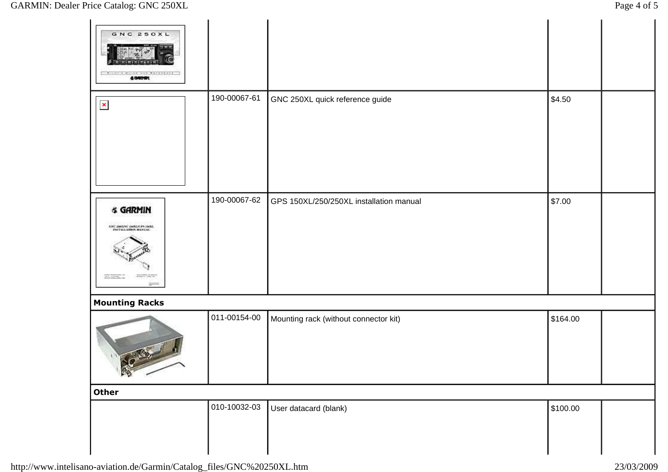| Price Catalog: GNC 250XL                                             |              |                                         |          | Page 4 of 5 |
|----------------------------------------------------------------------|--------------|-----------------------------------------|----------|-------------|
| GNC 250XL<br>4.040001                                                |              |                                         |          |             |
| $\pmb{\times}$                                                       | 190-00067-61 | GNC 250XL quick reference guide         | \$4.50   |             |
| <b>&amp; GARMIN</b><br>GNC DISGNC DOMAGES INCL.<br>ENCLUATION HANGAL | 190-00067-62 | GPS 150XL/250/250XL installation manual | \$7.00   |             |
| <b>Mounting Racks</b><br><b>CONTE</b><br>$\frac{1}{2}$               | 011-00154-00 | Mounting rack (without connector kit)   | \$164.00 |             |
| <b>Other</b>                                                         |              |                                         |          |             |
|                                                                      | 010-10032-03 | User datacard (blank)                   | \$100.00 |             |